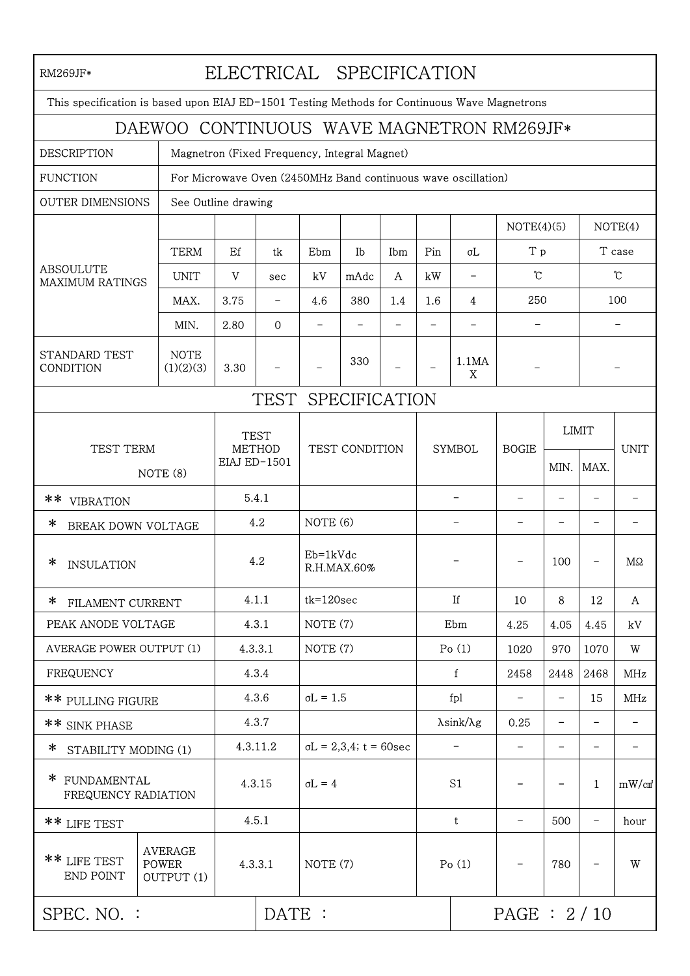| ELECTRICAL SPECIFICATION<br>RM269JF*                                                         |                                                               |                                                     |          |                                |      |     |                             |            |                              |                              |                   |                              |  |
|----------------------------------------------------------------------------------------------|---------------------------------------------------------------|-----------------------------------------------------|----------|--------------------------------|------|-----|-----------------------------|------------|------------------------------|------------------------------|-------------------|------------------------------|--|
| This specification is based upon EIAJ ED-1501 Testing Methods for Continuous Wave Magnetrons |                                                               |                                                     |          |                                |      |     |                             |            |                              |                              |                   |                              |  |
| DAEWOO CONTINUOUS WAVE MAGNETRON RM269JF*                                                    |                                                               |                                                     |          |                                |      |     |                             |            |                              |                              |                   |                              |  |
| <b>DESCRIPTION</b><br>Magnetron (Fixed Frequency, Integral Magnet)                           |                                                               |                                                     |          |                                |      |     |                             |            |                              |                              |                   |                              |  |
| <b>FUNCTION</b>                                                                              | For Microwave Oven (2450MHz Band continuous wave oscillation) |                                                     |          |                                |      |     |                             |            |                              |                              |                   |                              |  |
| <b>OUTER DIMENSIONS</b>                                                                      | See Outline drawing                                           |                                                     |          |                                |      |     |                             |            |                              |                              |                   |                              |  |
| <b>ABSOULUTE</b><br><b>MAXIMUM RATINGS</b>                                                   |                                                               |                                                     |          |                                |      |     |                             |            | NOTE(4)(5)                   |                              | NOTE(4)           |                              |  |
|                                                                                              | <b>TERM</b>                                                   | Ef                                                  | tk       | Ebm                            | Ib   | Ibm | Pin                         | σL         | T p                          |                              | T case            |                              |  |
|                                                                                              | <b>UNIT</b>                                                   | V                                                   | sec      | kV                             | mAdc | A   | kW                          |            | $\mathfrak{C}$               |                              | $\mathfrak{C}$    |                              |  |
|                                                                                              | MAX.                                                          | 3.75                                                | -        | 4.6                            | 380  | 1.4 | 1.6                         | 4          | 250                          |                              |                   | 100                          |  |
|                                                                                              | MIN.                                                          | 2.80                                                | $\Omega$ |                                |      |     |                             |            |                              |                              |                   |                              |  |
| STANDARD TEST<br>CONDITION                                                                   | <b>NOTE</b><br>(1)(2)(3)                                      | 3.30                                                |          |                                | 330  |     |                             | 1.1MA<br>X |                              |                              |                   |                              |  |
| SPECIFICATION<br>TEST                                                                        |                                                               |                                                     |          |                                |      |     |                             |            |                              |                              |                   |                              |  |
|                                                                                              |                                                               |                                                     |          |                                |      |     |                             |            |                              |                              |                   |                              |  |
| TEST TERM<br>NOTE (8)                                                                        |                                                               | <b>TEST</b><br><b>METHOD</b><br><b>EIAJ ED-1501</b> |          | TEST CONDITION                 |      |     | <b>SYMBOL</b>               |            | <b>BOGIE</b>                 |                              | <b>LIMIT</b>      | <b>UNIT</b>                  |  |
|                                                                                              |                                                               |                                                     |          |                                |      |     |                             |            |                              | MIN.                         | MAX.              |                              |  |
| **<br><b>VIBRATION</b>                                                                       |                                                               | 5.4.1                                               |          |                                |      |     |                             |            |                              | $\overline{\phantom{0}}$     | ۰                 |                              |  |
| ∗<br>BREAK DOWN VOLTAGE                                                                      |                                                               | 4.2                                                 |          | NOTE (6)                       |      |     |                             |            |                              | -                            |                   |                              |  |
|                                                                                              |                                                               |                                                     |          |                                |      |     |                             |            |                              |                              |                   |                              |  |
| ∗<br><b>INSULATION</b>                                                                       |                                                               | 4.2                                                 |          | $Eb=1kVdc$<br>R.H.MAX.60%      |      |     |                             |            |                              | 100                          |                   | MΩ                           |  |
| * FILAMENT CURRENT                                                                           |                                                               | 4.1.1                                               |          | $tk = 120$ sec                 |      |     | If                          |            | 10                           | 8                            | 12                | A                            |  |
| PEAK ANODE VOLTAGE                                                                           |                                                               | 4.3.1                                               |          | NOTE (7)                       |      |     | Ebm                         |            | 4.25                         | 4.05                         | 4.45              | kV                           |  |
| <b>AVERAGE POWER OUTPUT (1)</b>                                                              |                                                               | 4.3.3.1                                             |          | NOTE (7)                       |      |     | Po(1)                       |            | 1020                         | 970                          | 1070              | W                            |  |
| <b>FREQUENCY</b>                                                                             |                                                               | 4.3.4                                               |          |                                |      |     | $\mathbf{f}$                |            | 2458                         | 2448                         | 2468              | MHz                          |  |
| ** PULLING FIGURE                                                                            |                                                               | 4.3.6                                               |          | $\sigma L = 1.5$               |      |     | fpl                         |            | $\qquad \qquad \blacksquare$ | $\qquad \qquad \blacksquare$ | 15                | MHz                          |  |
| ** SINK PHASE                                                                                |                                                               | 4.3.7                                               |          |                                |      |     | $\lambda$ sink/ $\lambda$ g |            | 0.25                         | $\overline{\phantom{a}}$     |                   |                              |  |
| ∗<br>STABILITY MODING (1)                                                                    |                                                               | 4.3.11.2                                            |          | $\sigma L = 2,3,4$ ; t = 60sec |      |     | $\overline{\phantom{a}}$    |            | $\qquad \qquad -$            | $\qquad \qquad \blacksquare$ | $\qquad \qquad$   | $\qquad \qquad \blacksquare$ |  |
| $\ast$<br>FUNDAMENTAL<br>FREQUENCY RADIATION                                                 |                                                               | 4.3.15                                              |          | $\sigma L = 4$                 |      |     | S1                          |            |                              |                              | $\mathbf{1}$      | mW/cm                        |  |
| ** LIFE TEST                                                                                 |                                                               | 4.5.1                                               |          |                                |      |     | $\mathbf t$                 |            |                              | 500                          |                   | hour                         |  |
| ** LIFE TEST<br>END POINT                                                                    | <b>AVERAGE</b><br><b>POWER</b><br>4.3.3.1<br>OUTPUT (1)       |                                                     |          | NOTE (7)                       |      |     |                             | Po(1)      |                              | 780                          | $\qquad \qquad -$ | W                            |  |
| SPEC. NO. :                                                                                  |                                                               | DATE :                                              |          |                                |      |     |                             | PAGE: 2/10 |                              |                              |                   |                              |  |